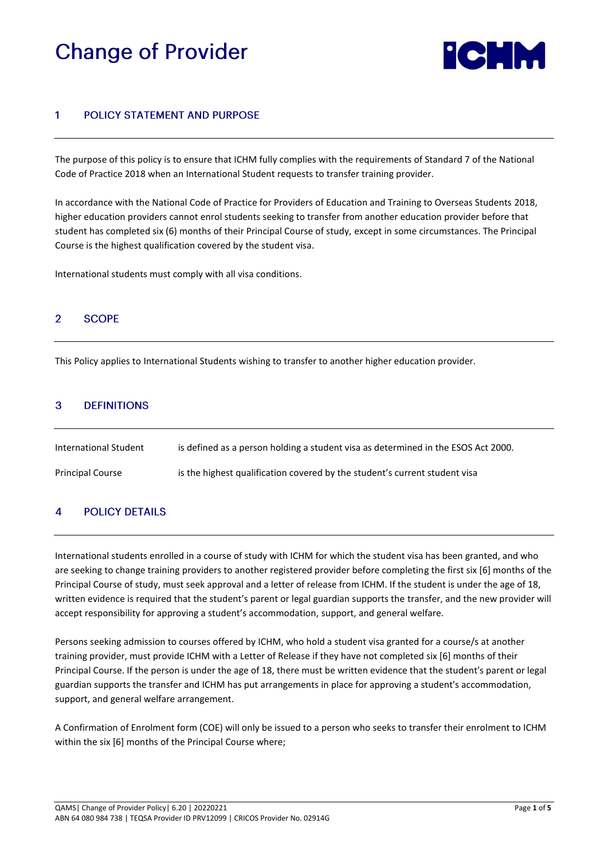# **Change of Provider**



### **POLICY STATEMENT AND PURPOSE** 1

The purpose of this policy is to ensure that ICHM fully complies with the requirements of Standard 7 of the National Code of Practice 2018 when an International Student requests to transfer training provider.

In accordance with the National Code of Practice for Providers of Education and Training to Overseas Students 2018, higher education providers cannot enrol students seeking to transfer from another education provider before that student has completed six (6) months of their Principal Course of study, except in some circumstances. The Principal Course is the highest qualification covered by the student visa.

International students must comply with all visa conditions.

#### $\overline{2}$ **SCOPE**

This Policy applies to International Students wishing to transfer to another higher education provider.

### 3 **DEFINITIONS**

| International Student   | is defined as a person holding a student visa as determined in the ESOS Act 2000. |
|-------------------------|-----------------------------------------------------------------------------------|
| <b>Principal Course</b> | is the highest qualification covered by the student's current student visa        |

### **POLICY DETAILS**  $\boldsymbol{A}$

International students enrolled in a course of study with ICHM for which the student visa has been granted, and who are seeking to change training providers to another registered provider before completing the first six [6] months of the Principal Course of study, must seek approval and a letter of release from ICHM. If the student is under the age of 18, written evidence is required that the student's parent or legal guardian supports the transfer, and the new provider will accept responsibility for approving a student's accommodation, support, and general welfare.

Persons seeking admission to courses offered by ICHM, who hold a student visa granted for a course/s at another training provider, must provide ICHM with a Letter of Release if they have not completed six [6] months of their Principal Course. If the person is under the age of 18, there must be written evidence that the student's parent or legal guardian supports the transfer and ICHM has put arrangements in place for approving a student's accommodation, support, and general welfare arrangement.

A Confirmation of Enrolment form (COE) will only be issued to a person who seeks to transfer their enrolment to ICHM within the six [6] months of the Principal Course where;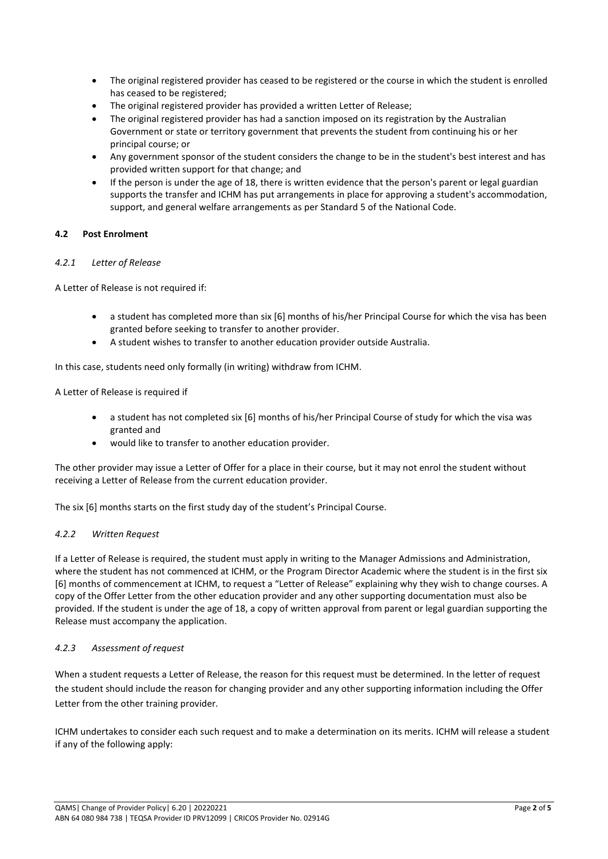- The original registered provider has ceased to be registered or the course in which the student is enrolled has ceased to be registered;
- The original registered provider has provided a written Letter of Release;
- The original registered provider has had a sanction imposed on its registration by the Australian Government or state or territory government that prevents the student from continuing his or her principal course; or
- Any government sponsor of the student considers the change to be in the student's best interest and has provided written support for that change; and
- If the person is under the age of 18, there is written evidence that the person's parent or legal guardian supports the transfer and ICHM has put arrangements in place for approving a student's accommodation, support, and general welfare arrangements as per Standard 5 of the National Code.

# **4.2 Post Enrolment**

# *4.2.1 Letter of Release*

A Letter of Release is not required if:

- a student has completed more than six [6] months of his/her Principal Course for which the visa has been granted before seeking to transfer to another provider.
- A student wishes to transfer to another education provider outside Australia.

In this case, students need only formally (in writing) withdraw from ICHM.

A Letter of Release is required if

- a student has not completed six [6] months of his/her Principal Course of study for which the visa was granted and
- would like to transfer to another education provider.

The other provider may issue a Letter of Offer for a place in their course, but it may not enrol the student without receiving a Letter of Release from the current education provider.

The six [6] months starts on the first study day of the student's Principal Course.

### *4.2.2 Written Request*

If a Letter of Release is required, the student must apply in writing to the Manager Admissions and Administration, where the student has not commenced at ICHM, or the Program Director Academic where the student is in the first six [6] months of commencement at ICHM, to request a "Letter of Release" explaining why they wish to change courses. A copy of the Offer Letter from the other education provider and any other supporting documentation must also be provided. If the student is under the age of 18, a copy of written approval from parent or legal guardian supporting the Release must accompany the application.

### *4.2.3 Assessment of request*

When a student requests a Letter of Release, the reason for this request must be determined. In the letter of request the student should include the reason for changing provider and any other supporting information including the Offer Letter from the other training provider.

ICHM undertakes to consider each such request and to make a determination on its merits. ICHM will release a student if any of the following apply: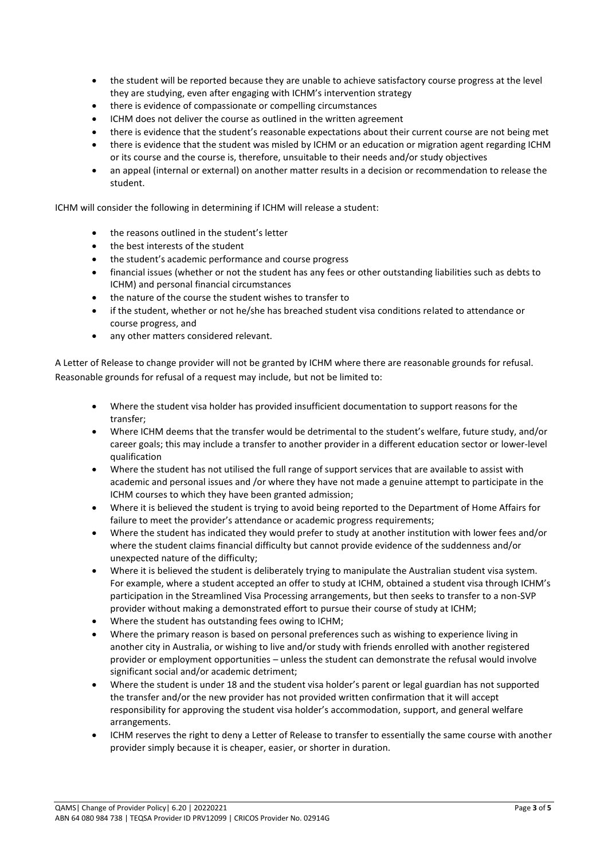- the student will be reported because they are unable to achieve satisfactory course progress at the level they are studying, even after engaging with ICHM's intervention strategy
- there is evidence of compassionate or compelling circumstances
- ICHM does not deliver the course as outlined in the written agreement
- there is evidence that the student's reasonable expectations about their current course are not being met
- there is evidence that the student was misled by ICHM or an education or migration agent regarding ICHM or its course and the course is, therefore, unsuitable to their needs and/or study objectives
- an appeal (internal or external) on another matter results in a decision or recommendation to release the student.

ICHM will consider the following in determining if ICHM will release a student:

- the reasons outlined in the student's letter
- the best interests of the student
- the student's academic performance and course progress
- financial issues (whether or not the student has any fees or other outstanding liabilities such as debts to ICHM) and personal financial circumstances
- the nature of the course the student wishes to transfer to
- if the student, whether or not he/she has breached student visa conditions related to attendance or course progress, and
- any other matters considered relevant.

A Letter of Release to change provider will not be granted by ICHM where there are reasonable grounds for refusal. Reasonable grounds for refusal of a request may include, but not be limited to:

- Where the student visa holder has provided insufficient documentation to support reasons for the transfer;
- Where ICHM deems that the transfer would be detrimental to the student's welfare, future study, and/or career goals; this may include a transfer to another provider in a different education sector or lower-level qualification
- Where the student has not utilised the full range of support services that are available to assist with academic and personal issues and /or where they have not made a genuine attempt to participate in the ICHM courses to which they have been granted admission;
- Where it is believed the student is trying to avoid being reported to the Department of Home Affairs for failure to meet the provider's attendance or academic progress requirements;
- Where the student has indicated they would prefer to study at another institution with lower fees and/or where the student claims financial difficulty but cannot provide evidence of the suddenness and/or unexpected nature of the difficulty;
- Where it is believed the student is deliberately trying to manipulate the Australian student visa system. For example, where a student accepted an offer to study at ICHM, obtained a student visa through ICHM's participation in the Streamlined Visa Processing arrangements, but then seeks to transfer to a non-SVP provider without making a demonstrated effort to pursue their course of study at ICHM;
- Where the student has outstanding fees owing to ICHM;
- Where the primary reason is based on personal preferences such as wishing to experience living in another city in Australia, or wishing to live and/or study with friends enrolled with another registered provider or employment opportunities – unless the student can demonstrate the refusal would involve significant social and/or academic detriment;
- Where the student is under 18 and the student visa holder's parent or legal guardian has not supported the transfer and/or the new provider has not provided written confirmation that it will accept responsibility for approving the student visa holder's accommodation, support, and general welfare arrangements.
- ICHM reserves the right to deny a Letter of Release to transfer to essentially the same course with another provider simply because it is cheaper, easier, or shorter in duration.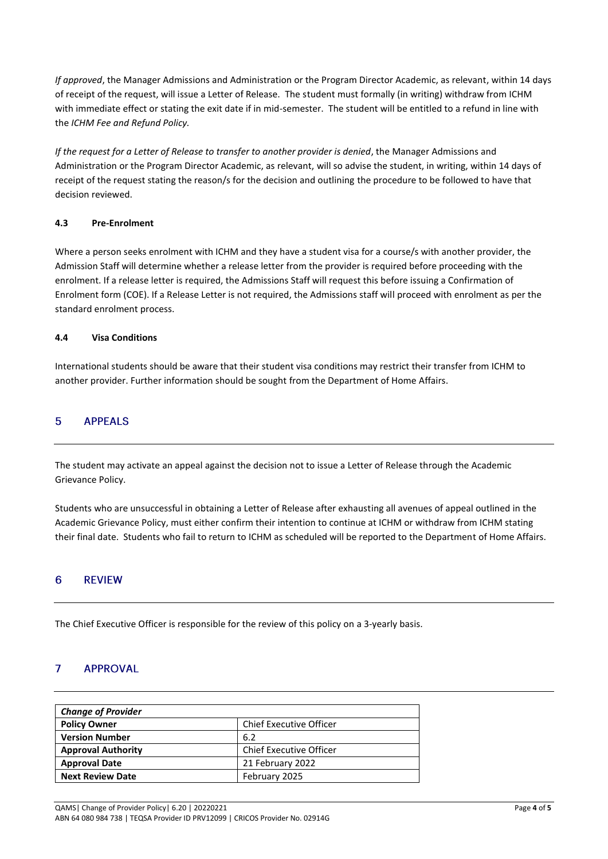*If approved*, the Manager Admissions and Administration or the Program Director Academic, as relevant, within 14 days of receipt of the request, will issue a Letter of Release. The student must formally (in writing) withdraw from ICHM with immediate effect or stating the exit date if in mid-semester. The student will be entitled to a refund in line with the *ICHM Fee and Refund Policy.*

*If the request for a Letter of Release to transfer to another provider is denied*, the Manager Admissions and Administration or the Program Director Academic, as relevant, will so advise the student, in writing, within 14 days of receipt of the request stating the reason/s for the decision and outlining the procedure to be followed to have that decision reviewed.

# **4.3 Pre-Enrolment**

Where a person seeks enrolment with ICHM and they have a student visa for a course/s with another provider, the Admission Staff will determine whether a release letter from the provider is required before proceeding with the enrolment. If a release letter is required, the Admissions Staff will request this before issuing a Confirmation of Enrolment form (COE). If a Release Letter is not required, the Admissions staff will proceed with enrolment as per the standard enrolment process.

# **4.4 Visa Conditions**

International students should be aware that their student visa conditions may restrict their transfer from ICHM to another provider. Further information should be sought from the Department of Home Affairs.

#### 5 **APPEALS**

The student may activate an appeal against the decision not to issue a Letter of Release through the Academic Grievance Policy.

Students who are unsuccessful in obtaining a Letter of Release after exhausting all avenues of appeal outlined in the Academic Grievance Policy, must either confirm their intention to continue at ICHM or withdraw from ICHM stating their final date. Students who fail to return to ICHM as scheduled will be reported to the Department of Home Affairs.

### $6\phantom{1}6$ **REVIEW**

The Chief Executive Officer is responsible for the review of this policy on a 3-yearly basis.

### $\overline{7}$ **APPROVAL**

| <b>Change of Provider</b>                             |                         |  |  |  |
|-------------------------------------------------------|-------------------------|--|--|--|
| <b>Chief Executive Officer</b><br><b>Policy Owner</b> |                         |  |  |  |
| <b>Version Number</b>                                 | 6.2                     |  |  |  |
| <b>Approval Authority</b>                             | Chief Executive Officer |  |  |  |
| <b>Approval Date</b>                                  | 21 February 2022        |  |  |  |
| <b>Next Review Date</b>                               | February 2025           |  |  |  |